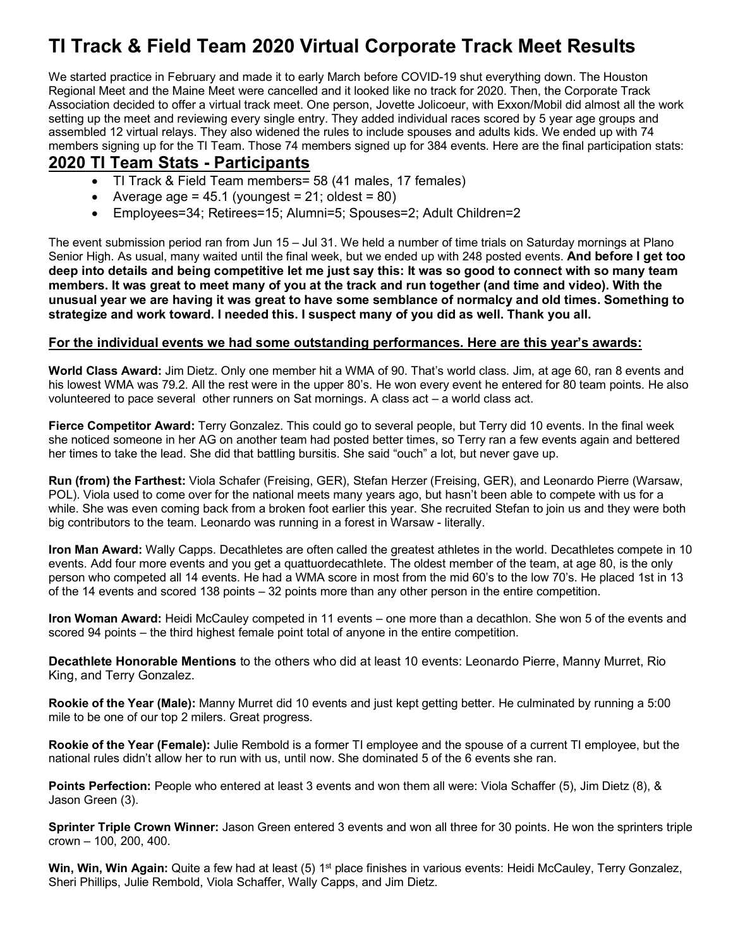# **TI Track & Field Team 2020 Virtual Corporate Track Meet Results**

We started practice in February and made it to early March before COVID-19 shut everything down. The Houston Regional Meet and the Maine Meet were cancelled and it looked like no track for 2020. Then, the Corporate Track Association decided to offer a virtual track meet. One person, Jovette Jolicoeur, with Exxon/Mobil did almost all the work setting up the meet and reviewing every single entry. They added individual races scored by 5 year age groups and assembled 12 virtual relays. They also widened the rules to include spouses and adults kids. We ended up with 74 members signing up for the TI Team. Those 74 members signed up for 384 events. Here are the final participation stats:

### **2020 TI Team Stats - Participants**

- TI Track & Field Team members= 58 (41 males, 17 females)
- Average age =  $45.1$  (youngest =  $21$ ; oldest =  $80$ )
- Employees=34; Retirees=15; Alumni=5; Spouses=2; Adult Children=2

The event submission period ran from Jun 15 – Jul 31. We held a number of time trials on Saturday mornings at Plano Senior High. As usual, many waited until the final week, but we ended up with 248 posted events. **And before I get too deep into details and being competitive let me just say this: It was so good to connect with so many team members. It was great to meet many of you at the track and run together (and time and video). With the unusual year we are having it was great to have some semblance of normalcy and old times. Something to strategize and work toward. I needed this. I suspect many of you did as well. Thank you all.**

#### **For the individual events we had some outstanding performances. Here are this year's awards:**

**World Class Award:** Jim Dietz. Only one member hit a WMA of 90. That's world class. Jim, at age 60, ran 8 events and his lowest WMA was 79.2. All the rest were in the upper 80's. He won every event he entered for 80 team points. He also volunteered to pace several other runners on Sat mornings. A class act – a world class act.

**Fierce Competitor Award:** Terry Gonzalez. This could go to several people, but Terry did 10 events. In the final week she noticed someone in her AG on another team had posted better times, so Terry ran a few events again and bettered her times to take the lead. She did that battling bursitis. She said "ouch" a lot, but never gave up.

**Run (from) the Farthest:** Viola Schafer (Freising, GER), Stefan Herzer (Freising, GER), and Leonardo Pierre (Warsaw, POL). Viola used to come over for the national meets many years ago, but hasn't been able to compete with us for a while. She was even coming back from a broken foot earlier this year. She recruited Stefan to join us and they were both big contributors to the team. Leonardo was running in a forest in Warsaw - literally.

**Iron Man Award:** Wally Capps. Decathletes are often called the greatest athletes in the world. Decathletes compete in 10 events. Add four more events and you get a quattuordecathlete. The oldest member of the team, at age 80, is the only person who competed all 14 events. He had a WMA score in most from the mid 60's to the low 70's. He placed 1st in 13 of the 14 events and scored 138 points – 32 points more than any other person in the entire competition.

**Iron Woman Award:** Heidi McCauley competed in 11 events – one more than a decathlon. She won 5 of the events and scored 94 points – the third highest female point total of anyone in the entire competition.

**Decathlete Honorable Mentions** to the others who did at least 10 events: Leonardo Pierre, Manny Murret, Rio King, and Terry Gonzalez.

**Rookie of the Year (Male):** Manny Murret did 10 events and just kept getting better. He culminated by running a 5:00 mile to be one of our top 2 milers. Great progress.

**Rookie of the Year (Female):** Julie Rembold is a former TI employee and the spouse of a current TI employee, but the national rules didn't allow her to run with us, until now. She dominated 5 of the 6 events she ran.

**Points Perfection:** People who entered at least 3 events and won them all were: Viola Schaffer (5), Jim Dietz (8), & Jason Green (3).

**Sprinter Triple Crown Winner:** Jason Green entered 3 events and won all three for 30 points. He won the sprinters triple crown – 100, 200, 400.

Win, Win, Win Again: Quite a few had at least (5) 1<sup>st</sup> place finishes in various events: Heidi McCauley, Terry Gonzalez, Sheri Phillips, Julie Rembold, Viola Schaffer, Wally Capps, and Jim Dietz.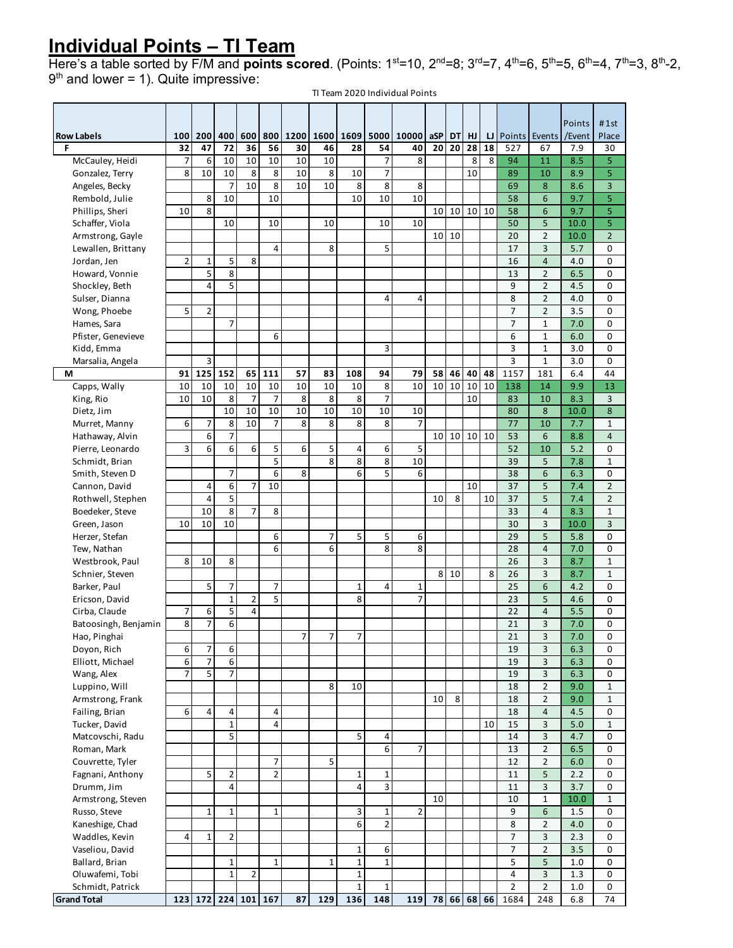## **Individual Points – TI Team**

Here's a table sorted by F/M and **points scored**. (Points: 1<sup>st</sup>=10, 2<sup>nd</sup>=8; 3<sup>rd</sup>=7, 4<sup>th</sup>=6, 5<sup>th</sup>=5, 6<sup>th</sup>=4, 7<sup>th</sup>=3, 8<sup>th</sup>-2,  $9<sup>th</sup>$  and lower = 1). Quite impressive:

TI Team 2020 Individual Points

| <b>Row Labels</b>                  | 100 | 200            | 400                     | 600                 |                | 800 1200       | 1600         | 1609                | 5000           | 10000          | aSP             | <b>DT</b>   | HJ |    | LJ Points Events |                | Points<br>/Event | # 1st<br>Place   |
|------------------------------------|-----|----------------|-------------------------|---------------------|----------------|----------------|--------------|---------------------|----------------|----------------|-----------------|-------------|----|----|------------------|----------------|------------------|------------------|
| F                                  | 32  | 47             | 72                      | 36                  | 56             | 30             | 46           | 28                  | 54             | 40             | 20              | 20          | 28 | 18 | 527              | 67             | 7.9              | 30               |
| McCauley, Heidi                    | 7   | 6              | 10                      | 10                  | 10             | 10             | 10           |                     | 7              | 8              |                 |             | 8  | 8  | 94               | 11             | 8.5              | 5                |
| Gonzalez, Terry                    | 8   | 10             | 10                      | 8                   | 8              | 10             | 8            | 10                  | 7              |                |                 |             | 10 |    | 89               | 10             | 8.9              | 5                |
| Angeles, Becky                     |     |                | 7                       | 10                  | 8              | 10             | 10           | 8                   | 8              | 8              |                 |             |    |    | 69               | 8              | 8.6              | 3                |
| Rembold, Julie                     |     | 8              | 10                      |                     | 10             |                |              | 10                  | 10             | 10             |                 |             |    |    | 58               | 6              | 9.7              | 5                |
| Phillips, Sheri                    | 10  | 8              |                         |                     |                |                |              |                     |                |                | 10              | 10          | 10 | 10 | 58               | 6              | 9.7              | 5                |
| Schaffer, Viola                    |     |                | 10                      |                     | 10             |                | 10           |                     | 10             | 10             |                 |             |    |    | 50               | 5              | 10.0             | 5                |
| Armstrong, Gayle                   |     |                |                         |                     |                |                |              |                     |                |                | 10              | 10          |    |    | 20               | $\overline{2}$ | 10.0             | $\overline{2}$   |
| Lewallen, Brittany                 |     |                |                         |                     | $\overline{4}$ |                | 8            |                     | 5              |                |                 |             |    |    | 17               | 3              | 5.7              | 0                |
| Jordan, Jen                        | 2   | $\mathbf 1$    | 5                       | 8                   |                |                |              |                     |                |                |                 |             |    |    | 16               | $\overline{4}$ | 4.0              | 0                |
| Howard, Vonnie                     |     | 5              | 8                       |                     |                |                |              |                     |                |                |                 |             |    |    | 13               | $\overline{2}$ | 6.5              | 0                |
| Shockley, Beth                     |     | 4              | 5                       |                     |                |                |              |                     |                |                |                 |             |    |    | 9                | 2              | 4.5              | 0                |
| Sulser, Dianna                     |     |                |                         |                     |                |                |              |                     | 4              | 4              |                 |             |    |    | 8                | $\overline{2}$ | 4.0              | 0                |
| Wong, Phoebe                       | 5   | $\overline{2}$ |                         |                     |                |                |              |                     |                |                |                 |             |    |    | $\overline{7}$   | $\overline{2}$ | 3.5              | 0                |
| Hames, Sara                        |     |                | 7                       |                     |                |                |              |                     |                |                |                 |             |    |    | 7                | $\mathbf{1}$   | 7.0              | 0                |
| Pfister, Genevieve                 |     |                |                         |                     | 6              |                |              |                     |                |                |                 |             |    |    | 6                | $\mathbf{1}$   | 6.0              | 0                |
| Kidd, Emma                         |     |                |                         |                     |                |                |              |                     | 3              |                |                 |             |    |    | 3                | $\mathbf 1$    | 3.0              | 0                |
| Marsalia, Angela                   |     | 3              |                         |                     |                |                |              |                     |                |                |                 |             |    |    | 3                | $\mathbf 1$    | 3.0              | $\mathbf 0$      |
| М                                  | 91  | 125            | 152                     | 65                  | 111            | 57             | 83           | 108                 | 94             | 79             | 58              | 46          | 40 | 48 | 1157             | 181            | 6.4              | 44               |
| Capps, Wally                       | 10  | 10             | 10                      | 10                  | 10             | 10             | 10           | 10                  | $\bf 8$        | 10             | 10              | 10          | 10 | 10 | 138              | 14             | 9.9              | 13               |
| King, Rio                          | 10  | 10             | 8                       | $\overline{7}$      | $\overline{7}$ | 8              | 8            | 8                   | $\overline{7}$ |                |                 |             | 10 |    | 83               | 10             | 8.3              | 3                |
| Dietz, Jim                         |     |                | 10                      | 10                  | 10             | 10             | 10           | 10                  | 10             | 10             |                 |             |    |    | 80               | 8              | 10.0             | 8                |
| Murret, Manny                      | 6   | $\overline{7}$ | 8                       | 10                  | $\overline{7}$ | 8              | 8            | 8                   | 8              | $\overline{7}$ |                 |             |    |    | 77               | 10             | 7.7              | $\mathbf 1$      |
| Hathaway, Alvin                    |     | 6<br>6         | $\overline{7}$<br>6     |                     |                | 6              |              |                     |                |                | 10 <sup>1</sup> | 10          | 10 | 10 | 53<br>52         | 6              | 8.8              | 4                |
| Pierre, Leonardo                   | 3   |                |                         | 6                   | 5<br>5         |                | 5<br>8       | $\overline{4}$<br>8 | 6<br>8         | 5<br>10        |                 |             |    |    |                  | 10<br>5        | 5.2              | 0                |
| Schmidt, Brian                     |     |                |                         |                     | 6              | 8              |              | 6                   | 5              | 6              |                 |             |    |    | 39<br>38         | 6              | 7.8<br>6.3       | $\mathbf 1$<br>0 |
| Smith, Steven D                    |     | 4              | 7<br>6                  | $\overline{7}$      | 10             |                |              |                     |                |                |                 |             | 10 |    | 37               | 5              | 7.4              | $\overline{2}$   |
| Cannon, David<br>Rothwell, Stephen |     | $\overline{4}$ | 5                       |                     |                |                |              |                     |                |                | 10              | 8           |    | 10 | 37               | 5              | 7.4              | $\overline{2}$   |
| Boedeker, Steve                    |     | 10             | 8                       | $\overline{7}$      | 8              |                |              |                     |                |                |                 |             |    |    | 33               | $\overline{4}$ | 8.3              | $\mathbf{1}$     |
| Green, Jason                       | 10  | 10             | 10                      |                     |                |                |              |                     |                |                |                 |             |    |    | 30               | 3              | 10.0             | 3                |
| Herzer, Stefan                     |     |                |                         |                     | 6              |                | 7            | 5                   | 5              | 6              |                 |             |    |    | 29               | 5              | 5.8              | 0                |
| Tew, Nathan                        |     |                |                         |                     | 6              |                | 6            |                     | 8              | 8              |                 |             |    |    | 28               | $\overline{4}$ | 7.0              | 0                |
| Westbrook, Paul                    | 8   | 10             | 8                       |                     |                |                |              |                     |                |                |                 |             |    |    | 26               | 3              | 8.7              | $\mathbf 1$      |
| Schnier, Steven                    |     |                |                         |                     |                |                |              |                     |                |                | 8               | 10          |    | 8  | 26               | 3              | 8.7              | 1                |
| Barker, Paul                       |     | 5              | 7                       |                     | $\overline{7}$ |                |              | 1                   | 4              | $\mathbf 1$    |                 |             |    |    | 25               | 6              | 4.2              | $\mathbf 0$      |
| Ericson, David                     |     |                | $\mathbf 1$             | $\overline{2}$      | 5              |                |              | 8                   |                | $\overline{7}$ |                 |             |    |    | 23               | 5              | 4.6              | 0                |
| Cirba, Claude                      | 7   | 6              | 5                       | 4                   |                |                |              |                     |                |                |                 |             |    |    | 22               | $\overline{4}$ | 5.5              | $\mathbf 0$      |
| Batoosingh, Benjamin               | 8   | $\overline{7}$ | 6                       |                     |                |                |              |                     |                |                |                 |             |    |    | 21               | 3              | 7.0              | 0                |
| Hao, Pinghai                       |     |                |                         |                     |                | $\overline{7}$ | 7            | 7                   |                |                |                 |             |    |    | 21               | 3              | 7.0              | 0                |
| Doyon, Rich                        | 6   | 7              | 6                       |                     |                |                |              |                     |                |                |                 |             |    |    | 19               | 3              | 6.3              | 0                |
| Elliott, Michael                   | 6   | $\overline{7}$ | 6                       |                     |                |                |              |                     |                |                |                 |             |    |    | 19               | 3              | 6.3              | 0                |
| Wang, Alex                         | 7   | 5              | 7                       |                     |                |                |              |                     |                |                |                 |             |    |    | 19               | 3              | 6.3              | 0                |
| Luppino, Will                      |     |                |                         |                     |                |                | 8            | 10                  |                |                |                 |             |    |    | 18               | $\overline{2}$ | 9.0              | 1                |
| Armstrong, Frank                   |     |                |                         |                     |                |                |              |                     |                |                | 10              | 8           |    |    | 18               | $\overline{2}$ | 9.0              | $\mathbf{1}$     |
| Failing, Brian                     | 6   | $\overline{4}$ | 4                       |                     | 4              |                |              |                     |                |                |                 |             |    |    | 18               | $\overline{4}$ | 4.5              | 0                |
| Tucker, David                      |     |                | 1                       |                     | 4              |                |              |                     |                |                |                 |             |    | 10 | 15               | 3              | 5.0              | 1                |
| Matcovschi, Radu                   |     |                | 5                       |                     |                |                |              | 5                   | 4              |                |                 |             |    |    | 14               | 3              | 4.7              | 0                |
| Roman, Mark                        |     |                |                         |                     |                |                |              |                     | 6              | $\overline{7}$ |                 |             |    |    | 13               | $\overline{2}$ | 6.5              | 0                |
| Couvrette, Tyler                   |     |                |                         |                     | 7              |                | 5            |                     |                |                |                 |             |    |    | 12               | $\overline{2}$ | 6.0              | 0                |
| Fagnani, Anthony                   |     | 5              | 2                       |                     | $\overline{2}$ |                |              | $\mathbf 1$         | 1              |                |                 |             |    |    | 11               | 5              | 2.2              | 0                |
| Drumm, Jim                         |     |                | $\overline{\mathbf{4}}$ |                     |                |                |              | $\overline{4}$      | 3              |                |                 |             |    |    | 11               | 3              | 3.7              | 0                |
| Armstrong, Steven                  |     |                |                         |                     |                |                |              |                     |                |                | 10              |             |    |    | 10               | $\mathbf{1}$   | 10.0             | $\mathbf{1}$     |
| Russo, Steve                       |     | $\mathbf{1}$   | $\mathbf{1}$            |                     | $\mathbf{1}$   |                |              | 3                   | $\mathbf 1$    | $\overline{2}$ |                 |             |    |    | 9                | 6              | 1.5              | 0                |
| Kaneshige, Chad                    |     |                |                         |                     |                |                |              | 6                   | $\overline{2}$ |                |                 |             |    |    | 8                | $\overline{2}$ | 4.0              | 0                |
| Waddles, Kevin                     | 4   | $\mathbf{1}$   | $\overline{2}$          |                     |                |                |              |                     |                |                |                 |             |    |    | $\overline{7}$   | 3              | 2.3              | 0                |
| Vaseliou, David                    |     |                |                         |                     |                |                |              | $\mathbf 1$         | 6              |                |                 |             |    |    | $\overline{7}$   | $\overline{2}$ | 3.5              | $\mathbf 0$      |
| Ballard, Brian                     |     |                | $\mathbf{1}$            |                     | $\mathbf{1}$   |                | $\mathbf{1}$ | $\mathbf 1$         | 1              |                |                 |             |    |    | 5                | 5              | $1.0$            | $\mathbf 0$      |
| Oluwafemi, Tobi                    |     |                | $\mathbf 1$             | $\overline{2}$      |                |                |              | $\mathbf 1$         |                |                |                 |             |    |    | 4                | 3              | 1.3              | $\mathbf 0$      |
| Schmidt, Patrick                   |     |                |                         |                     |                |                |              | $\mathbf{1}$        | $\mathbf{1}$   |                |                 |             |    |    | $\overline{2}$   | $\overline{2}$ | 1.0              | 0                |
| <b>Grand Total</b>                 |     |                |                         | 123 172 224 101 167 |                | 87             | 129          | 136                 | 148            | 119            |                 | 78 66 68 66 |    |    | 1684             | 248            | 6.8              | 74               |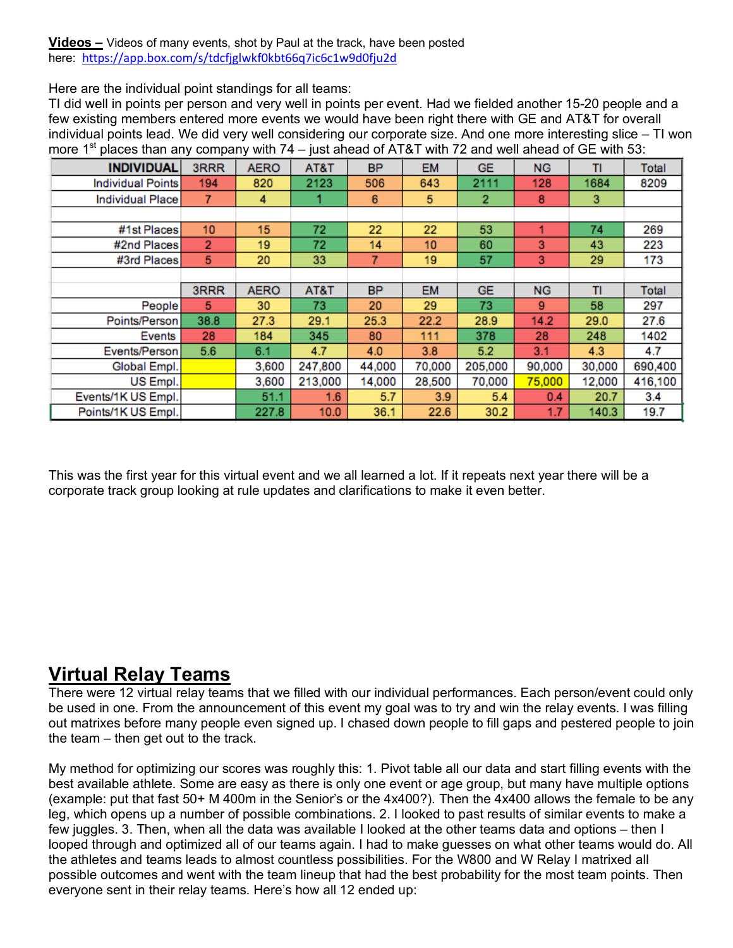**Videos –** Videos of many events, shot by Paul at the track, have been posted here: https://app.box.com/s/tdcfjglwkf0kbt66q7ic6c1w9d0fju2d

Here are the individual point standings for all teams:

TI did well in points per person and very well in points per event. Had we fielded another 15-20 people and a few existing members entered more events we would have been right there with GE and AT&T for overall individual points lead. We did very well considering our corporate size. And one more interesting slice – TI won more 1<sup>st</sup> places than any company with 74 – just ahead of AT&T with 72 and well ahead of GE with 53:

| <b>INDIVIDUAL</b>  | 3RRR           | <b>AERO</b> | AT&T    | <b>BP</b> | <b>EM</b> | <b>GE</b>      | <b>NG</b> | TI     | Total   |
|--------------------|----------------|-------------|---------|-----------|-----------|----------------|-----------|--------|---------|
| Individual Points  | 194            | 820         | 2123    | 506       | 643       | 2111           | 128       | 1684   | 8209    |
| Individual Place   | 7              | 4           |         | 6         | 5         | $\overline{2}$ | 8         | 3      |         |
|                    |                |             |         |           |           |                |           |        |         |
| #1st Places        | 10             | 15          | 72      | 22        | 22        | 53             |           | 74     | 269     |
| #2nd Places        | $\overline{2}$ | 19          | 72      | 14        | 10        | 60             | 3         | 43     | 223     |
| #3rd Places        | 5              | 20          | 33      | 7         | 19        | 57             | 3         | 29     | 173     |
|                    |                |             |         |           |           |                |           |        |         |
|                    | 3RRR           | <b>AERO</b> | AT&T    | <b>BP</b> | <b>EM</b> | <b>GE</b>      | <b>NG</b> | т      | Total   |
| People             | 5.             | 30          | 73      | 20        | 29        | 73             | 9         | 58     | 297     |
| Points/Person      | 38.8           | 27.3        | 29.1    | 25.3      | 22.2      | 28.9           | 14.2      | 29.0   | 27.6    |
| Events             | 28             | 184         | 345     | 80        | 111       | 378            | 28        | 248    | 1402    |
| Events/Person      | 5.6            | 6.1         | 4.7     | 4.0       | 3.8       | 5.2            | 3.1       | 4.3    | 4.7     |
| Global Empl.       |                | 3,600       | 247,800 | 44,000    | 70,000    | 205,000        | 90,000    | 30,000 | 690,400 |
| US Empl.           |                | 3,600       | 213,000 | 14,000    | 28,500    | 70,000         | 75,000    | 12,000 | 416,100 |
| Events/1K US Empl. |                | 51.1        | 1.6     | 5.7       | 3.9       | 5.4            | 0.4       | 20.7   | 3.4     |
| Points/1K US Empl. |                | 227.8       | 10.0    | 36.1      | 22.6      | 30.2           | 1.7       | 140.3  | 19.7    |

This was the first year for this virtual event and we all learned a lot. If it repeats next year there will be a corporate track group looking at rule updates and clarifications to make it even better.

## **Virtual Relay Teams**

There were 12 virtual relay teams that we filled with our individual performances. Each person/event could only be used in one. From the announcement of this event my goal was to try and win the relay events. I was filling out matrixes before many people even signed up. I chased down people to fill gaps and pestered people to join the team – then get out to the track.

My method for optimizing our scores was roughly this: 1. Pivot table all our data and start filling events with the best available athlete. Some are easy as there is only one event or age group, but many have multiple options (example: put that fast 50+ M 400m in the Senior's or the 4x400?). Then the 4x400 allows the female to be any leg, which opens up a number of possible combinations. 2. I looked to past results of similar events to make a few juggles. 3. Then, when all the data was available I looked at the other teams data and options – then I looped through and optimized all of our teams again. I had to make guesses on what other teams would do. All the athletes and teams leads to almost countless possibilities. For the W800 and W Relay I matrixed all possible outcomes and went with the team lineup that had the best probability for the most team points. Then everyone sent in their relay teams. Here's how all 12 ended up: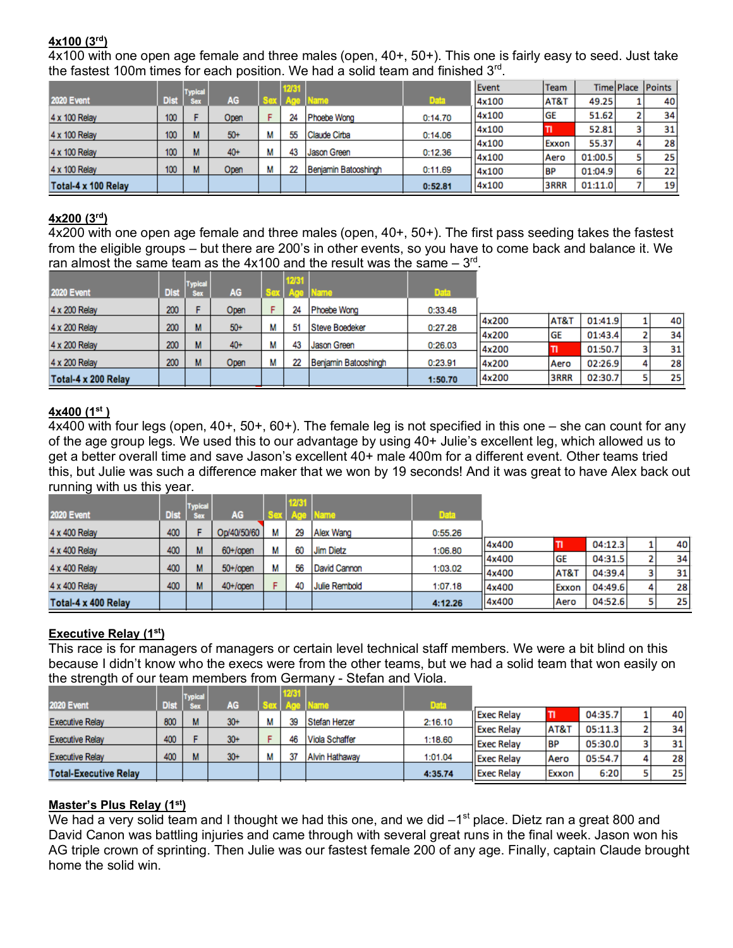#### **4x100 (3rd)**

4x100 with one open age female and three males (open, 40+, 50+). This one is fairly easy to seed. Just take the fastest 100m times for each position. We had a solid team and finished  $3<sup>rd</sup>$ .

|                     |                  | <b>Typical</b> |       |   | 12/31 |                      |             | Event | Team            |         |   | Time Place Points |
|---------------------|------------------|----------------|-------|---|-------|----------------------|-------------|-------|-----------------|---------|---|-------------------|
| <b>2020 Event</b>   | <b>Dist</b>      | <b>Sex</b>     | AG    |   |       | lame                 | <b>Data</b> | 4x100 | <b>AT&amp;T</b> | 49.25   |   | 40                |
| 4 x 100 Relay       | 100 <sub>1</sub> |                | Open  |   | 24    | Phoebe Wong          | 0:14.70     | 4x100 | <b>GE</b>       | 51.62   |   | 34 <sub>1</sub>   |
| 4 x 100 Relay       | 100              | м              | $50+$ | М | 55    | Claude Cirba         | 0:14.06     | 4x100 |                 | 52.81   |   | 31                |
|                     |                  |                |       |   |       |                      |             | 4x100 | Exxon           | 55.37   | 4 | 28                |
| 4 x 100 Relay       | 100 <sub>1</sub> | м              | $40+$ | М | 43    | Jason Green          | 0:12.36     | 4x100 | <b>Aero</b>     | 01:00.5 |   | 25                |
| 4 x 100 Relay       | 100              | м              | Open  | М | 22    | Benjamin Batooshingh | 0:11.69     | 4x100 | <b>BP</b>       | 01:04.9 | 6 | 22                |
| Total-4 x 100 Relay |                  |                |       |   |       |                      | 0:52.81     | 4x100 | <b>3RRR</b>     | 01:11.0 |   | 19                |

#### **4x200 (3rd)**

4x200 with one open age female and three males (open, 40+, 50+). The first pass seeding takes the fastest from the eligible groups – but there are 200's in other events, so you have to come back and balance it. We ran almost the same team as the  $4x100$  and the result was the same  $-3<sup>rd</sup>$ .

|                     |             | <b>Typical</b> |           |   | 12/31 |                      |             |       |           |         |   |    |
|---------------------|-------------|----------------|-----------|---|-------|----------------------|-------------|-------|-----------|---------|---|----|
| <b>2020 Event</b>   | <b>Dist</b> | <b>Sex</b>     | <b>AG</b> |   |       |                      | <b>Data</b> |       |           |         |   |    |
| 4 x 200 Relay       | 200         |                | Open      |   | 24    | Phoebe Wong          | 0:33.48     |       |           |         |   |    |
| 4 x 200 Relay       | 200         | M              | $50+$     | М | 51    | Steve Boedeker       | 0:27.28     | 4x200 | AT&T      | 01:41.9 |   | 40 |
|                     |             |                |           |   |       |                      |             | 4x200 | <b>GE</b> | 01:43.4 |   | 34 |
| 4 x 200 Relay       | 200         | M              | $40+$     | М | 43    | Jason Green          | 0:26.03     | 4x200 | דו        | 01:50.7 |   | 31 |
| 4 x 200 Relay       | 200         | M              | Open      | М | 22    | Benjamin Batooshingh | 0:23.91     | 4x200 | Aero      | 02:26.9 | 4 | 28 |
| Total-4 x 200 Relay |             |                |           |   |       |                      | 1:50.70     | 4x200 | 3RRR      | 02:30.7 |   | 25 |

#### **4x400 (1st )**

4x400 with four legs (open, 40+, 50+, 60+). The female leg is not specified in this one – she can count for any of the age group legs. We used this to our advantage by using 40+ Julie's excellent leg, which allowed us to get a better overall time and save Jason's excellent 40+ male 400m for a different event. Other teams tried this, but Julie was such a difference maker that we won by 19 seconds! And it was great to have Alex back out running with us this year.

|                     |             | <b>Typical</b> |             |   | 2/31 |               |             |       |                 |         |   |    |
|---------------------|-------------|----------------|-------------|---|------|---------------|-------------|-------|-----------------|---------|---|----|
| <b>2020 Event</b>   | <b>Dist</b> | <b>Sex</b>     | AG          |   |      | ame.          | <b>Data</b> |       |                 |         |   |    |
| 4 x 400 Relay       | 400         |                | Op/40/50/60 | М | 29   | Alex Wang     | 0:55.26     |       |                 |         |   |    |
| 4 x 400 Relay       | 400         | М              | $60+$ /open | М | 60   | Jim Dietz     | 1:06.80     | 4x400 | τι              | 04:12.3 |   | 40 |
|                     |             |                |             |   |      |               |             | 4x400 | <b>GE</b>       | 04:31.5 |   | 34 |
| 4 x 400 Relay       | 400         | м              | $50+$ /open | М | 56   | David Cannon  | 1:03.02     | 4x400 | <b>AT&amp;T</b> | 04:39.4 |   | 31 |
| 4 x 400 Relay       | 400         | М              | $40+$ /open |   | 40   | Julie Rembold | 1:07.18     | 4x400 | Exxon           | 04:49.6 | 4 | 28 |
| Total-4 x 400 Relay |             |                |             |   |      |               | 4:12.26     | 4x400 | Aero            | 04:52.6 |   | 25 |

#### **Executive Relay (1st)**

This race is for managers of managers or certain level technical staff members. We were a bit blind on this because I didn't know who the execs were from the other teams, but we had a solid team that won easily on the strength of our team members from Germany - Stefan and Viola.

| <b>2020 Event</b>            | Dist | <b>Typical</b><br><b>Sex</b> | AG     |   |    | ame            | <b>Data</b> |                   |                 |         |    |
|------------------------------|------|------------------------------|--------|---|----|----------------|-------------|-------------------|-----------------|---------|----|
|                              |      |                              |        | м |    |                |             | <b>Exec Relay</b> |                 | 04:35.7 | 40 |
| <b>Executive Relay</b>       | 800  | м                            | $30+$  |   | 39 | Stefan Herzer  | 2:16.10     | <b>Exec Relav</b> | <b>AT&amp;T</b> | 05:11.3 | 34 |
| <b>Executive Relay</b>       | 400  |                              | $30+$  |   | 46 | Viola Schaffer | 1:18.60     | <b>Exec Relay</b> | <b>BP</b>       | 05:30.0 | 31 |
| <b>Executive Relay</b>       | 400  | М                            | $30 +$ |   |    | Alvin Hathaway | 1:01.04     | <b>Exec Relay</b> | Aero            | 05:54.7 | 28 |
| <b>Total-Executive Relay</b> |      |                              |        |   |    |                | 4:35.74     | <b>Exec Relay</b> | Exxon           | 6:20    | 25 |

#### **Master's Plus Relay (1st)**

We had a very solid team and I thought we had this one, and we did  $-1<sup>st</sup>$  place. Dietz ran a great 800 and David Canon was battling injuries and came through with several great runs in the final week. Jason won his AG triple crown of sprinting. Then Julie was our fastest female 200 of any age. Finally, captain Claude brought home the solid win.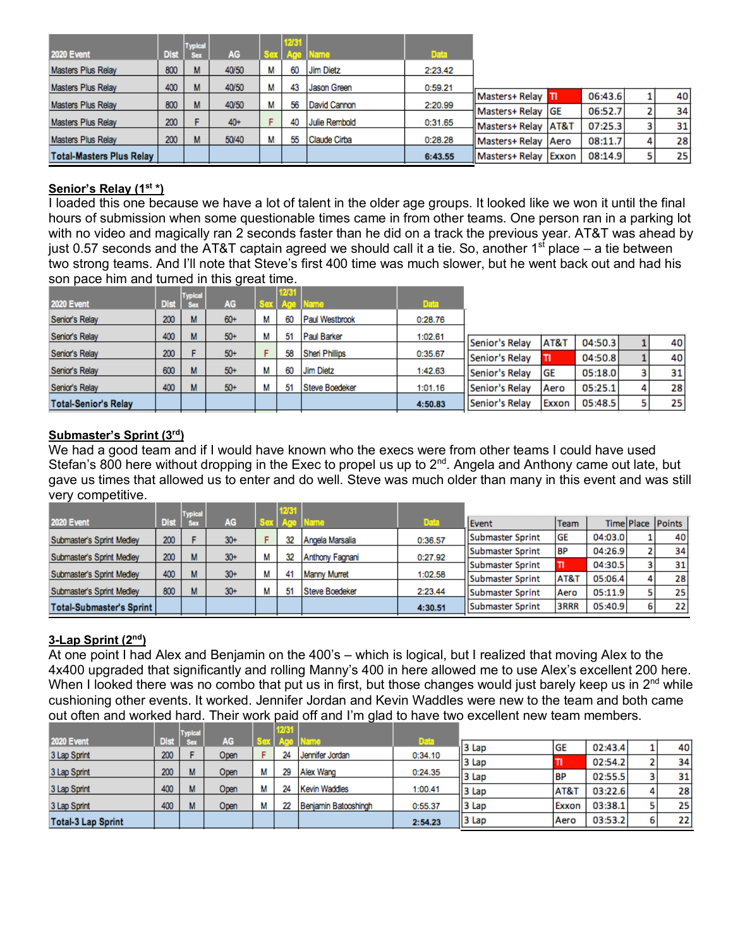| <b>2020 Event</b>               | <b>Dist</b> | <b>Typical</b><br><b>Sex</b> | AG     |   | 12/31 | Name                 | <b>Data</b> |                       |       |         |   |    |
|---------------------------------|-------------|------------------------------|--------|---|-------|----------------------|-------------|-----------------------|-------|---------|---|----|
| <b>Masters Plus Relay</b>       | 800         | м                            | 40/50  | М | 60    | <b>Jim Dietz</b>     | 2:23.42     |                       |       |         |   |    |
| <b>Masters Plus Relay</b>       | 400         | м                            | 40/50  | М | 43    | Jason Green          | 0:59.21     |                       |       |         |   |    |
| <b>Masters Plus Relay</b>       | 800         | м                            | 40/50  | м | 56    | David Cannon         | 2:20.99     | Masters+ Relay Til    |       | 06:43.6 |   | 40 |
|                                 |             |                              |        |   |       |                      |             | Masters+ Relay GE     |       | 06:52.7 |   | 34 |
| <b>Masters Plus Relay</b>       | 200         |                              | $40 +$ |   | 40    | <b>Julie Rembold</b> | 0:31.65     | Masters+ Relay   AT&T |       | 07:25.3 |   | 31 |
| <b>Masters Plus Relay</b>       | 200         | М                            | 50/40  | м | 55    | Claude Cirba         | 0:28.28     | Masters+ Relay        | Aero  | 08:11.7 | 4 | 28 |
| <b>Total-Masters Plus Relay</b> |             |                              |        |   |       |                      | 6:43.55     | Masters+ Relay        | Exxon | 08:14.9 |   | 25 |

#### **Senior's Relay (1st \*)**

I loaded this one because we have a lot of talent in the older age groups. It looked like we won it until the final hours of submission when some questionable times came in from other teams. One person ran in a parking lot with no video and magically ran 2 seconds faster than he did on a track the previous year. AT&T was ahead by just 0.57 seconds and the AT&T captain agreed we should call it a tie. So, another 1<sup>st</sup> place – a tie between two strong teams. And I'll note that Steve's first 400 time was much slower, but he went back out and had his son pace him and turned in this great time.

|                             |             | <b>Typical</b> |           | 12/31 |                       |             |                |       |         |   |    |
|-----------------------------|-------------|----------------|-----------|-------|-----------------------|-------------|----------------|-------|---------|---|----|
| <b>2020 Event</b>           | <b>Dist</b> | <b>Sex</b>     | <b>AG</b> |       | lame                  | <b>Data</b> |                |       |         |   |    |
| Senior's Relay              | 200         | м              | $60+$     | 60    | Paul Westbrook        | 0:28.76     |                |       |         |   |    |
| Senior's Relay              | 400         | м              | $50+$     | 51    | Paul Barker           | 1:02.61     |                |       |         |   |    |
|                             |             |                |           |       |                       |             | Senior's Relay | AT&T  | 04:50.3 |   | 40 |
| Senior's Relay              | 200         |                | $50+$     | 58    | <b>Sheri Phillips</b> | 0:35.67     | Senior's Relay | п     | 04:50.8 |   | 40 |
| Senior's Relay              | 600         | м              | $50+$     | 60    | Jim Dietz             | 1:42.63     | Senior's Relay | GE    | 05:18.0 |   | 31 |
| Senior's Relay              | 400         | м              | $50+$     | 51    | Steve Boedeker        | 1:01.16     | Senior's Relay | Aero  | 05:25.1 | 4 | 28 |
| <b>Total-Senior's Relay</b> |             |                |           |       |                       | 4:50.83     | Senior's Relay | Exxon | 05:48.5 |   | 25 |

#### **Submaster's Sprint (3rd)**

We had a good team and if I would have known who the execs were from other teams I could have used Stefan's 800 here without dropping in the Exec to propel us up to 2<sup>nd</sup>. Angela and Anthony came out late, but gave us times that allowed us to enter and do well. Steve was much older than many in this event and was still very competitive.

|                                   |             | <b>Typical</b> |        |   | 12/31 |                     |         |                  |             |         |   |                   |
|-----------------------------------|-------------|----------------|--------|---|-------|---------------------|---------|------------------|-------------|---------|---|-------------------|
| <b>2020 Event</b>                 | <b>Dist</b> |                | AG     |   |       | a Timello           | Data    | Event            | Team        |         |   | Time Place Points |
| Submaster's Sprint Medley         | 200         |                | $30 +$ |   | 32    | Angela Marsalia     | 0:36.57 | Submaster Sprint | <b>GE</b>   | 04:03.0 |   | 40                |
| Submaster's Sprint Medley         | 200         | м              | $30 +$ |   | 32    | Anthony Fagnani     | 0:27.92 | Submaster Sprint | <b>BP</b>   | 04:26.9 |   | 34                |
|                                   |             |                |        |   |       |                     |         | Submaster Sprint | TI          | 04:30.5 |   | 31                |
| Submaster's Sprint Medley         | 400         | м              | $30 +$ | м | 41    | <b>Manny Murret</b> | 1:02.58 | Submaster Sprint | AT&T        | 05:06.4 |   | 28                |
| Submaster's Sprint Medley         | 800         | м              | $30 +$ |   | 51    | Steve Boedeker      | 2:23.44 | Submaster Sprint | <b>Aero</b> | 05:11.9 |   | 25                |
| <b>Total-Submaster's Sprint  </b> |             |                |        |   |       |                     | 4:30.51 | Submaster Sprint | 3RRR        | 05:40.9 | 6 | 22                |

#### **3-Lap Sprint (2nd)**

At one point I had Alex and Benjamin on the 400's – which is logical, but I realized that moving Alex to the 4x400 upgraded that significantly and rolling Manny's 400 in here allowed me to use Alex's excellent 200 here. When I looked there was no combo that put us in first, but those changes would just barely keep us in  $2^{nd}$  while cushioning other events. It worked. Jennifer Jordan and Kevin Waddles were new to the team and both came out often and worked hard. Their work paid off and I'm glad to have two excellent new team members.

|                           |             | <b>Typical</b> |           |   |    |                      |         |        |           |         |   |    |
|---------------------------|-------------|----------------|-----------|---|----|----------------------|---------|--------|-----------|---------|---|----|
| <b>2020 Event</b>         | <b>Dist</b> |                | <b>AG</b> |   |    |                      | Data.   | 13 Lap | <b>GE</b> | 02:43.4 |   | 40 |
| 3 Lap Sprint              | 200         |                | Open      |   |    | Jennifer Jordan      | 0:34.10 |        |           |         |   |    |
|                           |             |                |           |   |    |                      |         | 3 Lap  |           | 02:54.2 |   | 34 |
| 3 Lap Sprint              | 200         |                | Open      | М | 29 | Alex Wang            | 0:24.35 |        |           |         |   |    |
|                           |             |                |           |   |    |                      |         | 3 Lap  | <b>BP</b> | 02:55.5 | - | 31 |
| 3 Lap Sprint              | 400         |                | Open      | М | 24 | Kevin Waddles        | 1:00.41 |        | AT&T      | 03:22.6 | 4 | 28 |
|                           |             |                |           |   |    |                      |         | 3 Lap  |           |         |   |    |
| 3 Lap Sprint              | 400         |                | Open      |   | 22 | Benjamin Batooshingh | 0:55.37 | 3 Lap  | Exxon     | 03:38.1 |   | 25 |
| <b>Total-3 Lap Sprint</b> |             |                |           |   |    |                      | 2:54.23 | 13 Lap | Aero      | 03:53.2 | 6 | 22 |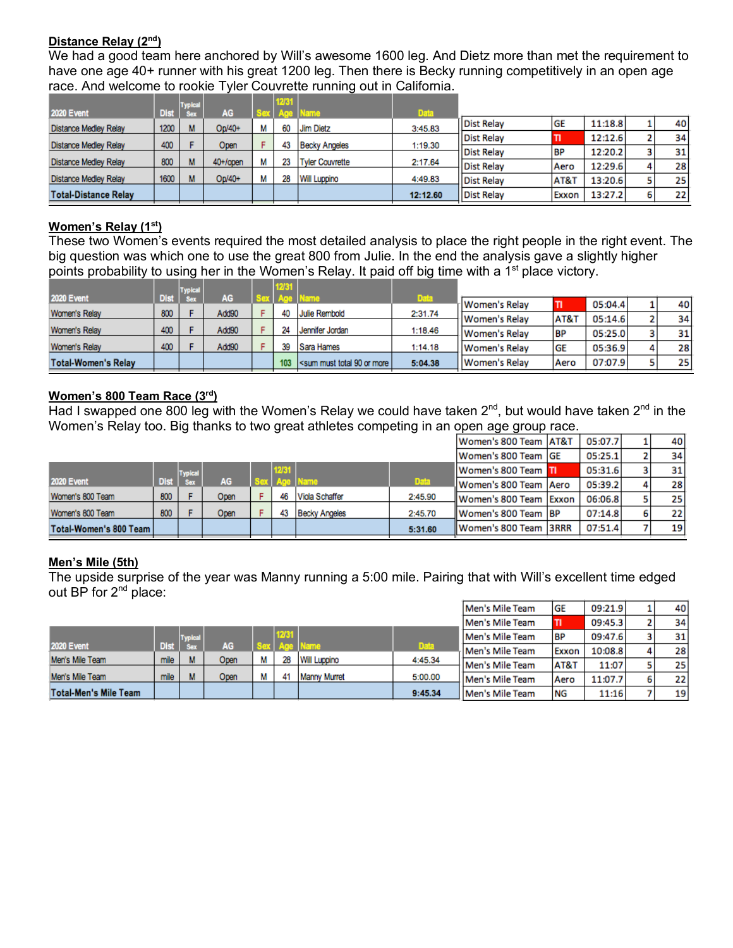#### **Distance Relay (2nd)**

We had a good team here anchored by Will's awesome 1600 leg. And Dietz more than met the requirement to have one age 40+ runner with his great 1200 leg. Then there is Becky running competitively in an open age race. And welcome to rookie Tyler Couvrette running out in California.

|                              |             | <b>Typical</b> |             | 12/31 |                        |             |                   |                 |         |   |    |
|------------------------------|-------------|----------------|-------------|-------|------------------------|-------------|-------------------|-----------------|---------|---|----|
| <b>2020 Event</b>            | <b>Dist</b> |                | AG          |       | ame                    | <b>Data</b> |                   |                 |         |   |    |
| <b>Distance Medley Relay</b> | 1200        | м              | $Op/40+$    | 60    | <b>Jim Dietz</b>       | 3:45.83     | <b>Dist Relay</b> | <b>GE</b>       | 11:18.8 |   | 40 |
|                              |             |                |             |       |                        |             | <b>Dist Relay</b> | н               | 12:12.6 |   | 34 |
| <b>Distance Medley Relay</b> | 400         |                | Open        | 43    | <b>Becky Angeles</b>   | 1:19.30     | <b>Dist Relay</b> | <b>BP</b>       | 12:20.2 | 3 | 31 |
| <b>Distance Medley Relay</b> | 800         |                | $40+$ /open |       | <b>Tyler Couvrette</b> | 2:17.64     | <b>Dist Relav</b> | Aero            | 12:29.6 | Δ | 28 |
| <b>Distance Medley Relay</b> | 1600        |                | $On/40+$    | 28    | <b>Will Luppino</b>    | 4:49.83     | <b>Dist Relay</b> | <b>AT&amp;T</b> | 13:20.6 | 5 | 25 |
|                              |             |                |             |       |                        |             |                   |                 |         |   |    |
| <b>Total-Distance Relay</b>  |             |                |             |       |                        | 12:12.60    | <b>Dist Relay</b> | Exxon           | 13:27.2 | 6 | 22 |

#### **Women's Relay (1st)**

These two Women's events required the most detailed analysis to place the right people in the right event. The big question was which one to use the great 800 from Julie. In the end the analysis gave a slightly higher points probability to using her in the Women's Relay. It paid off big time with a 1<sup>st</sup> place victory.

|                            |      | <b>Typical</b> |           | IMB II |                           |         |               |                 |         |   |    |
|----------------------------|------|----------------|-----------|--------|---------------------------|---------|---------------|-----------------|---------|---|----|
| <b>2020 Event</b>          | Dist | <b>Sex</b>     | <b>AG</b> |        |                           | Data.   | Women's Relay |                 | 05:04.4 |   | 40 |
| Women's Relay              | 800  |                | Add90     | 40     | Julie Rembold             | 2:31.74 |               |                 |         |   |    |
|                            |      |                |           |        |                           |         | Women's Relay | <b>AT&amp;T</b> | 05:14.6 |   | 34 |
| Women's Relay              | 400  |                | Add90     | 24     | Jennifer Jordan           | 1:18.46 | Women's Relay | BP              | 05:25.0 |   | 31 |
|                            |      |                |           |        |                           |         |               |                 |         |   |    |
| Women's Relay              | 400  |                | Add90     | 39     | Sara Hames                | 1:14.18 | Women's Relay | <b>GE</b>       | 05:36.9 | 4 | 28 |
| <b>Total-Women's Relay</b> |      |                |           | 103    | sum must total 90 or more | 5:04.38 | Women's Relay | Aero            | 07:07.9 |   | 25 |

#### **Women's 800 Team Race (3rd)**

Had I swapped one 800 leg with the Women's Relay we could have taken  $2^{nd}$ , but would have taken  $2^{nd}$  in the Women's Relay too. Big thanks to two great athletes competing in an open age group race.

|                        |             |                |           |                |                      |             | Women's 800 Team   AT&T | 05:07.7 |   | 40 |
|------------------------|-------------|----------------|-----------|----------------|----------------------|-------------|-------------------------|---------|---|----|
|                        |             |                |           |                |                      |             | Women's 800 Team GE     | 05:25.1 |   | 34 |
|                        |             | <b>Typical</b> |           | <b>FIZIKST</b> |                      |             | Women's 800 Team III    | 05:31.6 |   | 31 |
| <b>2020 Event</b>      | <b>Dist</b> | <b>Sex</b>     | <b>AG</b> |                |                      | <b>Data</b> | Women's 800 Team   Aero | 05:39.2 | 4 | 28 |
| Women's 800 Team       | 800         |                | Open      | 46             | Viola Schaffer       | 2:45.90     | Women's 800 Team Exxon  | 06:06.8 |   | 25 |
| Women's 800 Team       | 800         |                | Open      | 43             | <b>Becky Angeles</b> | 2:45.70     | Women's 800 Team BP     | 07:14.8 | 6 | 22 |
| Total-Women's 800 Team |             |                |           |                |                      | 5:31.60     | Women's 800 Team 3RRR   | 07:51.4 |   | 19 |
|                        |             |                |           |                |                      |             |                         |         |   |    |

#### **Men's Mile (5th)**

The upside surprise of the year was Manny running a 5:00 mile. Pairing that with Will's excellent time edged out BP for 2<sup>nd</sup> place:

|                       |             |                |      |      |                     |             | Men's Mile Team    | <b>GE</b>       | 09:21.9 |   | 40              |
|-----------------------|-------------|----------------|------|------|---------------------|-------------|--------------------|-----------------|---------|---|-----------------|
|                       |             |                |      |      |                     |             | Men's Mile Team    | п               | 09:45.3 |   | 34              |
|                       |             | <b>Typical</b> |      | 1261 |                     |             | Men's Mile Team    | <b>BP</b>       | 09:47.6 |   | 31              |
| <b>2020 Event</b>     | <b>Dist</b> |                | AG   |      |                     | <b>Data</b> | Men's Mile Team    | Exxon           | 10:08.8 | 4 | 28              |
| Men's Mile Team       | mile        | M              | Open | 28   | <b>Will Luppino</b> | 4:45.34     |                    |                 |         |   |                 |
|                       |             |                |      |      |                     |             | Men's Mile Team    | <b>AT&amp;1</b> | 11:07   |   | 25              |
| Men's Mile Team       | mile        | M              | Open | 41   | <b>Manny Murret</b> | 5:00.00     | Men's Mile Team    | Aero            | 11:07.7 | 6 | 22 <sub>1</sub> |
| Total-Men's Mile Team |             |                |      |      |                     | 9:45.34     | l IMen's Mile Team | <b>NG</b>       | 11:16   |   | 19              |